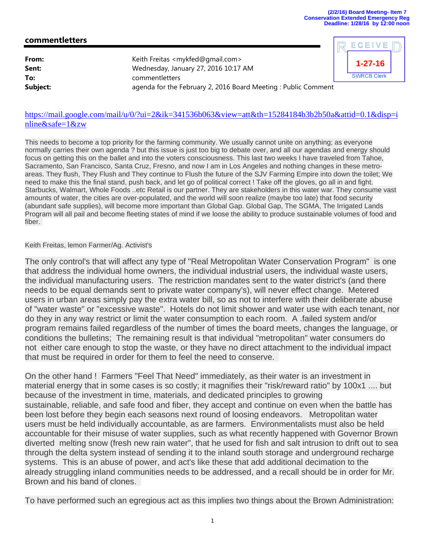**1-27-16**

**SWRCB Clerk** 

ECEIVE

## **commentletters**

| Wednesday, January 27, 2016 10:17 AM                           |                                                     |
|----------------------------------------------------------------|-----------------------------------------------------|
| commentletters                                                 |                                                     |
| agenda for the February 2, 2016 Board Meeting : Public Comment |                                                     |
|                                                                | Keith Freitas <mykfed@gmail.com></mykfed@gmail.com> |



This needs to become a top priority for the farming community. We usually cannot unite on anything; as everyone normally carries their own agenda ? but this issue is just too big to debate over, and all our agendas and energy should focus on getting this on the ballet and into the voters consciousness. This last two weeks I have traveled from Tahoe, Sacramento, San Francisco, Santa Cruz, Fresno, and now I am in Los Angeles and nothing changes in these metroareas. They flush, They Flush and They continue to Flush the future of the SJV Farming Empire into down the toilet; We need to make this the final stand, push back, and let go of political correct ! Take off the gloves, go all in and fight. Starbucks, Walmart, Whole Foods ..etc Retail is our partner. They are stakeholders in this water war. They consume vast amounts of water, the cities are over-populated, and the world will soon realize (maybe too late) that food security (abundant safe supplies), will become more important than Global Gap. Global Gap, The SGMA, The Irrigated Lands Program will all pail and become fleeting states of mind if we loose the ability to produce sustainable volumes of food and fiber.

## Keith Freitas, lemon Farmer/Ag. Activist's

The only control's that will affect any type of "Real Metropolitan Water Conservation Program" is one that address the individual home owners, the individual industrial users, the individual waste users, the individual manufacturing users. The restriction mandates sent to the water district's (and there needs to be equal demands sent to private water company's), will never effect change. Metered users in urban areas simply pay the extra water bill, so as not to interfere with their deliberate abuse of "water waste" or "excessive waste". Hotels do not limit shower and water use with each tenant, nor do they in any way restrict or limit the water consumption to each room. A .failed system and/or program remains failed regardless of the number of times the board meets, changes the language, or conditions the bulletins; The remaining result is that individual "metropolitan" water consumers do not either care enough to stop the waste, or they have no direct attachment to the individual impact that must be required in order for them to feel the need to conserve.

On the other hand ! Farmers "Feel That Need" immediately, as their water is an investment in material energy that in some cases is so costly; it magnifies their "risk/reward ratio" by 100x1 .... but because of the investment in time, materials, and dedicated principles to growing sustainable, reliable, and safe food and fiber, they accept and continue on even when the battle has been lost before they begin each seasons next round of loosing endeavors. Metropolitan water users must be held individually accountable, as are farmers. Environmentalists must also be held accountable for their misuse of water supplies, such as what recently happened with Governor Brown diverted melting snow (fresh new rain water", that he used for fish and salt intrusion to drift out to sea through the delta system instead of sending it to the inland south storage and underground recharge systems. This is an abuse of power, and act's like these that add additional decimation to the already struggling inland communities needs to be addressed, and a recall should be in order for Mr. Brown and his band of clones.

To have performed such an egregious act as this implies two things about the Brown Administration: